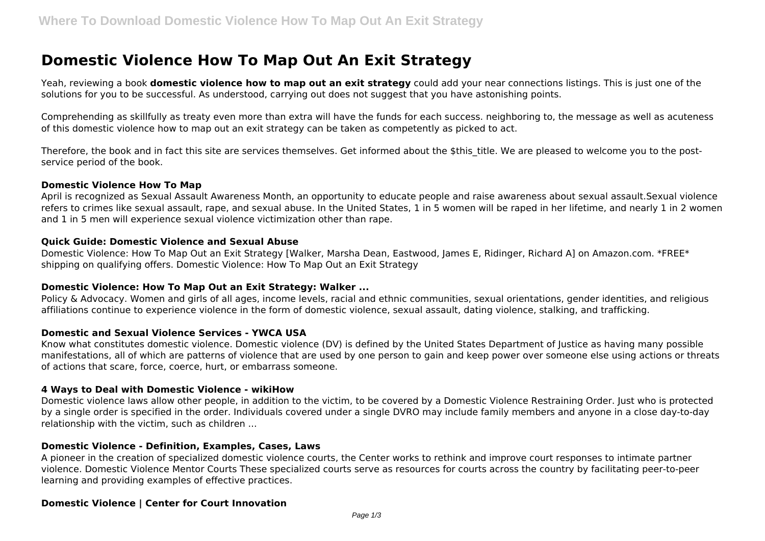# **Domestic Violence How To Map Out An Exit Strategy**

Yeah, reviewing a book **domestic violence how to map out an exit strategy** could add your near connections listings. This is just one of the solutions for you to be successful. As understood, carrying out does not suggest that you have astonishing points.

Comprehending as skillfully as treaty even more than extra will have the funds for each success. neighboring to, the message as well as acuteness of this domestic violence how to map out an exit strategy can be taken as competently as picked to act.

Therefore, the book and in fact this site are services themselves. Get informed about the \$this title. We are pleased to welcome you to the postservice period of the book.

#### **Domestic Violence How To Map**

April is recognized as Sexual Assault Awareness Month, an opportunity to educate people and raise awareness about sexual assault.Sexual violence refers to crimes like sexual assault, rape, and sexual abuse. In the United States, 1 in 5 women will be raped in her lifetime, and nearly 1 in 2 women and 1 in 5 men will experience sexual violence victimization other than rape.

# **Quick Guide: Domestic Violence and Sexual Abuse**

Domestic Violence: How To Map Out an Exit Strategy [Walker, Marsha Dean, Eastwood, James E, Ridinger, Richard A] on Amazon.com. \*FREE\* shipping on qualifying offers. Domestic Violence: How To Map Out an Exit Strategy

#### **Domestic Violence: How To Map Out an Exit Strategy: Walker ...**

Policy & Advocacy. Women and girls of all ages, income levels, racial and ethnic communities, sexual orientations, gender identities, and religious affiliations continue to experience violence in the form of domestic violence, sexual assault, dating violence, stalking, and trafficking.

#### **Domestic and Sexual Violence Services - YWCA USA**

Know what constitutes domestic violence. Domestic violence (DV) is defined by the United States Department of Justice as having many possible manifestations, all of which are patterns of violence that are used by one person to gain and keep power over someone else using actions or threats of actions that scare, force, coerce, hurt, or embarrass someone.

#### **4 Ways to Deal with Domestic Violence - wikiHow**

Domestic violence laws allow other people, in addition to the victim, to be covered by a Domestic Violence Restraining Order. Just who is protected by a single order is specified in the order. Individuals covered under a single DVRO may include family members and anyone in a close day-to-day relationship with the victim, such as children ...

#### **Domestic Violence - Definition, Examples, Cases, Laws**

A pioneer in the creation of specialized domestic violence courts, the Center works to rethink and improve court responses to intimate partner violence. Domestic Violence Mentor Courts These specialized courts serve as resources for courts across the country by facilitating peer-to-peer learning and providing examples of effective practices.

#### **Domestic Violence | Center for Court Innovation**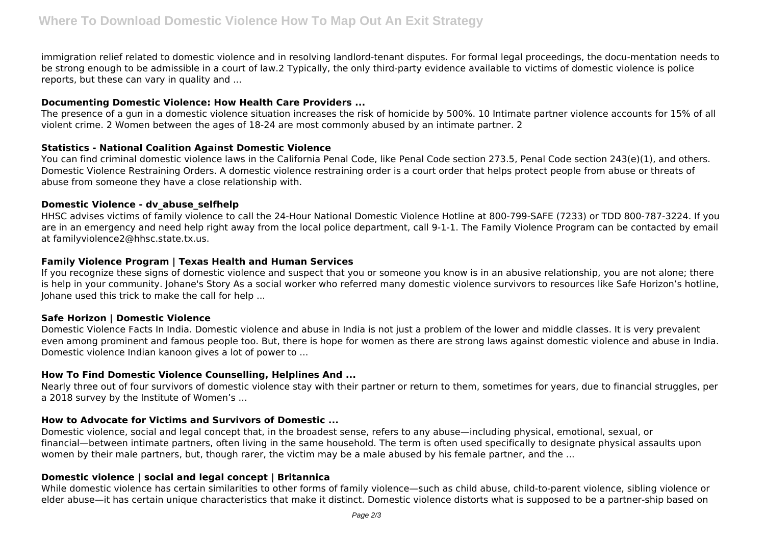immigration relief related to domestic violence and in resolving landlord-tenant disputes. For formal legal proceedings, the docu-mentation needs to be strong enough to be admissible in a court of law.2 Typically, the only third-party evidence available to victims of domestic violence is police reports, but these can vary in quality and ...

## **Documenting Domestic Violence: How Health Care Providers ...**

The presence of a gun in a domestic violence situation increases the risk of homicide by 500%. 10 Intimate partner violence accounts for 15% of all violent crime. 2 Women between the ages of 18-24 are most commonly abused by an intimate partner. 2

# **Statistics - National Coalition Against Domestic Violence**

You can find criminal domestic violence laws in the California Penal Code, like Penal Code section 273.5, Penal Code section 243(e)(1), and others. Domestic Violence Restraining Orders. A domestic violence restraining order is a court order that helps protect people from abuse or threats of abuse from someone they have a close relationship with.

## **Domestic Violence - dv\_abuse\_selfhelp**

HHSC advises victims of family violence to call the 24-Hour National Domestic Violence Hotline at 800-799-SAFE (7233) or TDD 800-787-3224. If you are in an emergency and need help right away from the local police department, call 9-1-1. The Family Violence Program can be contacted by email at familyviolence2@hhsc.state.tx.us.

# **Family Violence Program | Texas Health and Human Services**

If you recognize these signs of domestic violence and suspect that you or someone you know is in an abusive relationship, you are not alone; there is help in your community. Johane's Story As a social worker who referred many domestic violence survivors to resources like Safe Horizon's hotline, Johane used this trick to make the call for help ...

## **Safe Horizon | Domestic Violence**

Domestic Violence Facts In India. Domestic violence and abuse in India is not just a problem of the lower and middle classes. It is very prevalent even among prominent and famous people too. But, there is hope for women as there are strong laws against domestic violence and abuse in India. Domestic violence Indian kanoon gives a lot of power to ...

# **How To Find Domestic Violence Counselling, Helplines And ...**

Nearly three out of four survivors of domestic violence stay with their partner or return to them, sometimes for years, due to financial struggles, per a 2018 survey by the Institute of Women's ...

# **How to Advocate for Victims and Survivors of Domestic ...**

Domestic violence, social and legal concept that, in the broadest sense, refers to any abuse—including physical, emotional, sexual, or financial—between intimate partners, often living in the same household. The term is often used specifically to designate physical assaults upon women by their male partners, but, though rarer, the victim may be a male abused by his female partner, and the ...

# **Domestic violence | social and legal concept | Britannica**

While domestic violence has certain similarities to other forms of family violence—such as child abuse, child-to-parent violence, sibling violence or elder abuse—it has certain unique characteristics that make it distinct. Domestic violence distorts what is supposed to be a partner-ship based on